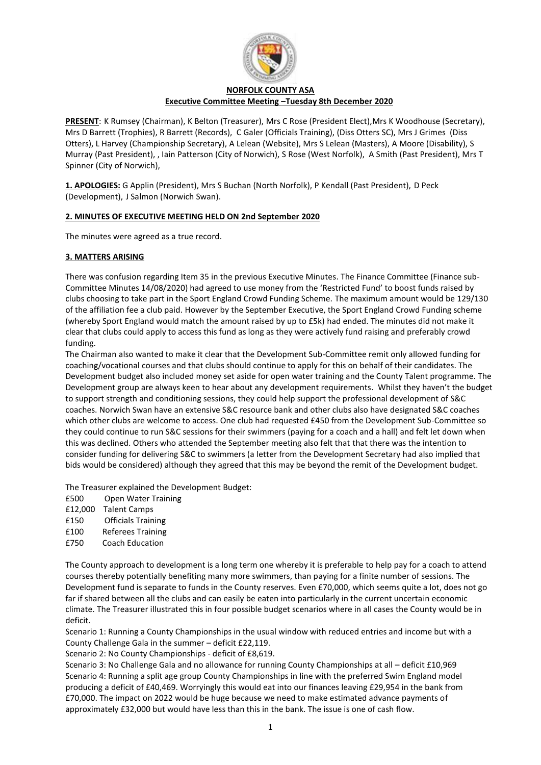

## **NORFOLK COUNTY ASA Executive Committee Meeting –Tuesday 8th December 2020**

**PRESENT**: K Rumsey (Chairman), K Belton (Treasurer), Mrs C Rose (President Elect),Mrs K Woodhouse (Secretary), Mrs D Barrett (Trophies), R Barrett (Records), C Galer (Officials Training), (Diss Otters SC), Mrs J Grimes (Diss Otters), L Harvey (Championship Secretary), A Lelean (Website), Mrs S Lelean (Masters), A Moore (Disability), S Murray (Past President), , Iain Patterson (City of Norwich), S Rose (West Norfolk), A Smith (Past President), Mrs T Spinner (City of Norwich),

**1. APOLOGIES:** G Applin (President), Mrs S Buchan (North Norfolk), P Kendall (Past President), D Peck (Development), J Salmon (Norwich Swan).

# **2. MINUTES OF EXECUTIVE MEETING HELD ON 2nd September 2020**

The minutes were agreed as a true record.

# **3. MATTERS ARISING**

There was confusion regarding Item 35 in the previous Executive Minutes. The Finance Committee (Finance sub-Committee Minutes 14/08/2020) had agreed to use money from the 'Restricted Fund' to boost funds raised by clubs choosing to take part in the Sport England Crowd Funding Scheme. The maximum amount would be 129/130 of the affiliation fee a club paid. However by the September Executive, the Sport England Crowd Funding scheme (whereby Sport England would match the amount raised by up to £5k) had ended. The minutes did not make it clear that clubs could apply to access this fund as long as they were actively fund raising and preferably crowd funding.

The Chairman also wanted to make it clear that the Development Sub-Committee remit only allowed funding for coaching/vocational courses and that clubs should continue to apply for this on behalf of their candidates. The Development budget also included money set aside for open water training and the County Talent programme. The Development group are always keen to hear about any development requirements. Whilst they haven't the budget to support strength and conditioning sessions, they could help support the professional development of S&C coaches. Norwich Swan have an extensive S&C resource bank and other clubs also have designated S&C coaches which other clubs are welcome to access. One club had requested £450 from the Development Sub-Committee so they could continue to run S&C sessions for their swimmers (paying for a coach and a hall) and felt let down when this was declined. Others who attended the September meeting also felt that that there was the intention to consider funding for delivering S&C to swimmers (a letter from the Development Secretary had also implied that bids would be considered) although they agreed that this may be beyond the remit of the Development budget.

The Treasurer explained the Development Budget:

- £500 Open Water Training
- £12,000 Talent Camps
- £150 Officials Training
- £100 Referees Training
- £750 Coach Education

The County approach to development is a long term one whereby it is preferable to help pay for a coach to attend courses thereby potentially benefiting many more swimmers, than paying for a finite number of sessions. The Development fund is separate to funds in the County reserves. Even £70,000, which seems quite a lot, does not go far if shared between all the clubs and can easily be eaten into particularly in the current uncertain economic climate. The Treasurer illustrated this in four possible budget scenarios where in all cases the County would be in deficit.

Scenario 1: Running a County Championships in the usual window with reduced entries and income but with a County Challenge Gala in the summer – deficit £22,119.

Scenario 2: No County Championships - deficit of £8,619.

Scenario 3: No Challenge Gala and no allowance for running County Championships at all – deficit £10,969 Scenario 4: Running a split age group County Championships in line with the preferred Swim England model producing a deficit of £40,469. Worryingly this would eat into our finances leaving £29,954 in the bank from £70,000. The impact on 2022 would be huge because we need to make estimated advance payments of approximately £32,000 but would have less than this in the bank. The issue is one of cash flow.